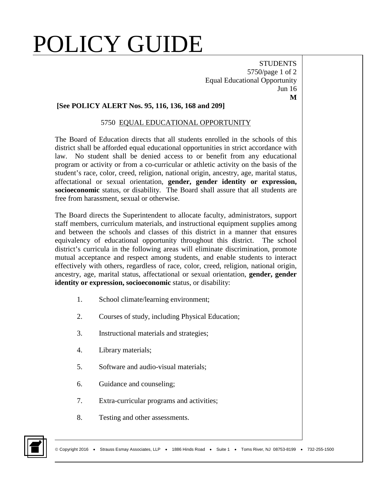## POLICY GUIDE

**STUDENTS** 5750/page 1 of 2 Equal Educational Opportunity Jun 16 **M**

## **[See POLICY ALERT Nos. 95, 116, 136, 168 and 209]**

## 5750 EQUAL EDUCATIONAL OPPORTUNITY

The Board of Education directs that all students enrolled in the schools of this district shall be afforded equal educational opportunities in strict accordance with law. No student shall be denied access to or benefit from any educational program or activity or from a co-curricular or athletic activity on the basis of the student's race, color, creed, religion, national origin, ancestry, age, marital status, affectational or sexual orientation, **gender, gender identity or expression, socioeconomic** status, or disability. The Board shall assure that all students are free from harassment, sexual or otherwise.

The Board directs the Superintendent to allocate faculty, administrators, support staff members, curriculum materials, and instructional equipment supplies among and between the schools and classes of this district in a manner that ensures equivalency of educational opportunity throughout this district. The school district's curricula in the following areas will eliminate discrimination, promote mutual acceptance and respect among students, and enable students to interact effectively with others, regardless of race, color, creed, religion, national origin, ancestry, age, marital status, affectational or sexual orientation, **gender, gender identity or expression, socioeconomic** status, or disability:

- 1. School climate/learning environment;
- 2. Courses of study, including Physical Education;
- 3. Instructional materials and strategies;
- 4. Library materials;
- 5. Software and audio-visual materials;
- 6. Guidance and counseling;
- 7. Extra-curricular programs and activities;
- 8. Testing and other assessments.